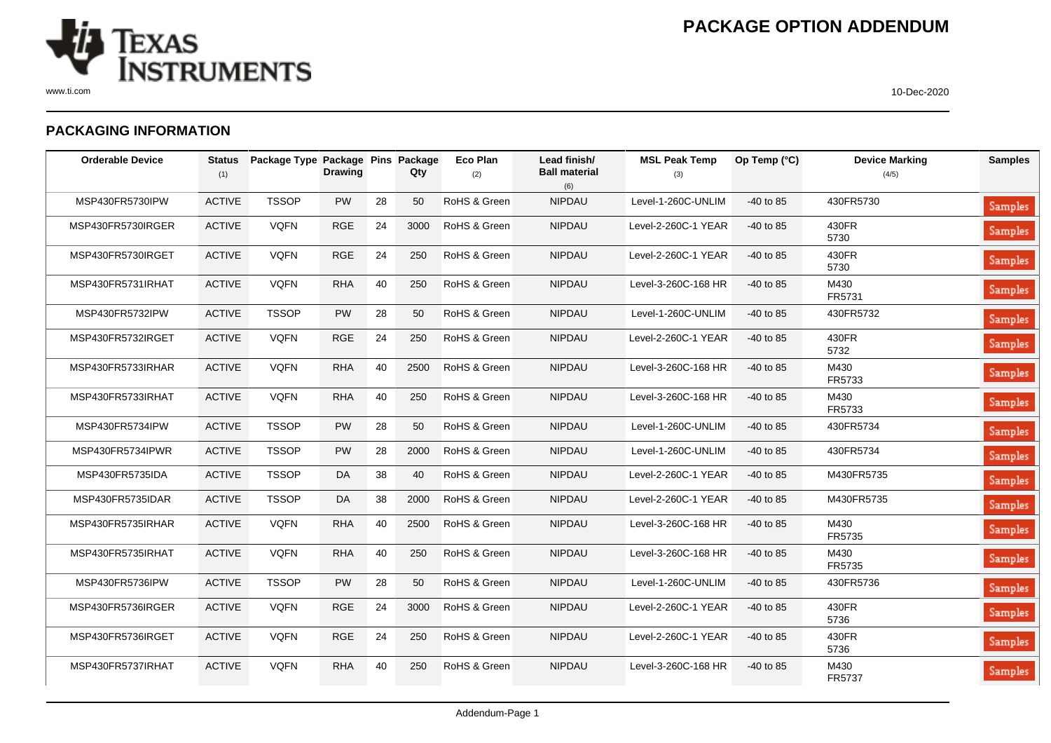

## **PACKAGING INFORMATION**

| <b>Orderable Device</b> | <b>Status</b><br>(1) | Package Type Package Pins Package | <b>Drawing</b> |    | Qty  | Eco Plan<br>(2) | Lead finish/<br><b>Ball material</b><br>(6) | <b>MSL Peak Temp</b><br>(3) | Op Temp (°C) | <b>Device Marking</b><br>(4/5) | <b>Samples</b> |
|-------------------------|----------------------|-----------------------------------|----------------|----|------|-----------------|---------------------------------------------|-----------------------------|--------------|--------------------------------|----------------|
| MSP430FR5730IPW         | <b>ACTIVE</b>        | <b>TSSOP</b>                      | <b>PW</b>      | 28 | 50   | RoHS & Green    | <b>NIPDAU</b>                               | Level-1-260C-UNLIM          | -40 to 85    | 430FR5730                      | <b>Samples</b> |
| MSP430FR5730IRGER       | <b>ACTIVE</b>        | <b>VQFN</b>                       | <b>RGE</b>     | 24 | 3000 | RoHS & Green    | <b>NIPDAU</b>                               | Level-2-260C-1 YEAR         | $-40$ to 85  | 430FR<br>5730                  | <b>Samples</b> |
| MSP430FR5730IRGET       | <b>ACTIVE</b>        | <b>VQFN</b>                       | <b>RGE</b>     | 24 | 250  | RoHS & Green    | <b>NIPDAU</b>                               | Level-2-260C-1 YEAR         | $-40$ to 85  | 430FR<br>5730                  | Samples        |
| MSP430FR5731IRHAT       | <b>ACTIVE</b>        | <b>VQFN</b>                       | <b>RHA</b>     | 40 | 250  | RoHS & Green    | <b>NIPDAU</b>                               | Level-3-260C-168 HR         | -40 to 85    | M430<br>FR5731                 | <b>Samples</b> |
| MSP430FR5732IPW         | <b>ACTIVE</b>        | <b>TSSOP</b>                      | PW             | 28 | 50   | RoHS & Green    | <b>NIPDAU</b>                               | Level-1-260C-UNLIM          | $-40$ to 85  | 430FR5732                      | <b>Samples</b> |
| MSP430FR5732IRGET       | <b>ACTIVE</b>        | <b>VQFN</b>                       | <b>RGE</b>     | 24 | 250  | RoHS & Green    | <b>NIPDAU</b>                               | Level-2-260C-1 YEAR         | $-40$ to 85  | 430FR<br>5732                  | <b>Samples</b> |
| MSP430FR5733IRHAR       | <b>ACTIVE</b>        | <b>VQFN</b>                       | <b>RHA</b>     | 40 | 2500 | RoHS & Green    | <b>NIPDAU</b>                               | Level-3-260C-168 HR         | $-40$ to 85  | M430<br>FR5733                 | Samples        |
| MSP430FR5733IRHAT       | <b>ACTIVE</b>        | <b>VQFN</b>                       | <b>RHA</b>     | 40 | 250  | RoHS & Green    | <b>NIPDAU</b>                               | Level-3-260C-168 HR         | $-40$ to 85  | M430<br>FR5733                 | Samples        |
| MSP430FR5734IPW         | <b>ACTIVE</b>        | <b>TSSOP</b>                      | <b>PW</b>      | 28 | 50   | RoHS & Green    | <b>NIPDAU</b>                               | Level-1-260C-UNLIM          | $-40$ to 85  | 430FR5734                      | <b>Samples</b> |
| MSP430FR5734IPWR        | <b>ACTIVE</b>        | <b>TSSOP</b>                      | <b>PW</b>      | 28 | 2000 | RoHS & Green    | <b>NIPDAU</b>                               | Level-1-260C-UNLIM          | $-40$ to 85  | 430FR5734                      | <b>Samples</b> |
| MSP430FR5735IDA         | <b>ACTIVE</b>        | <b>TSSOP</b>                      | DA             | 38 | 40   | RoHS & Green    | <b>NIPDAU</b>                               | Level-2-260C-1 YEAR         | -40 to 85    | M430FR5735                     | <b>Samples</b> |
| MSP430FR5735IDAR        | <b>ACTIVE</b>        | <b>TSSOP</b>                      | DA             | 38 | 2000 | RoHS & Green    | <b>NIPDAU</b>                               | Level-2-260C-1 YEAR         | $-40$ to 85  | M430FR5735                     | <b>Samples</b> |
| MSP430FR5735IRHAR       | <b>ACTIVE</b>        | <b>VQFN</b>                       | <b>RHA</b>     | 40 | 2500 | RoHS & Green    | <b>NIPDAU</b>                               | Level-3-260C-168 HR         | $-40$ to 85  | M430<br>FR5735                 | <b>Samples</b> |
| MSP430FR5735IRHAT       | <b>ACTIVE</b>        | <b>VQFN</b>                       | <b>RHA</b>     | 40 | 250  | RoHS & Green    | <b>NIPDAU</b>                               | Level-3-260C-168 HR         | $-40$ to 85  | M430<br>FR5735                 | <b>Samples</b> |
| MSP430FR5736IPW         | <b>ACTIVE</b>        | <b>TSSOP</b>                      | <b>PW</b>      | 28 | 50   | RoHS & Green    | <b>NIPDAU</b>                               | Level-1-260C-UNLIM          | $-40$ to 85  | 430FR5736                      | <b>Samples</b> |
| MSP430FR5736IRGER       | <b>ACTIVE</b>        | <b>VQFN</b>                       | <b>RGE</b>     | 24 | 3000 | RoHS & Green    | <b>NIPDAU</b>                               | Level-2-260C-1 YEAR         | $-40$ to 85  | 430FR<br>5736                  | <b>Samples</b> |
| MSP430FR5736IRGET       | <b>ACTIVE</b>        | <b>VQFN</b>                       | <b>RGE</b>     | 24 | 250  | RoHS & Green    | <b>NIPDAU</b>                               | Level-2-260C-1 YEAR         | $-40$ to 85  | 430FR<br>5736                  | Samples        |
| MSP430FR5737IRHAT       | <b>ACTIVE</b>        | <b>VQFN</b>                       | <b>RHA</b>     | 40 | 250  | RoHS & Green    | <b>NIPDAU</b>                               | Level-3-260C-168 HR         | $-40$ to 85  | M430<br>FR5737                 | <b>Samples</b> |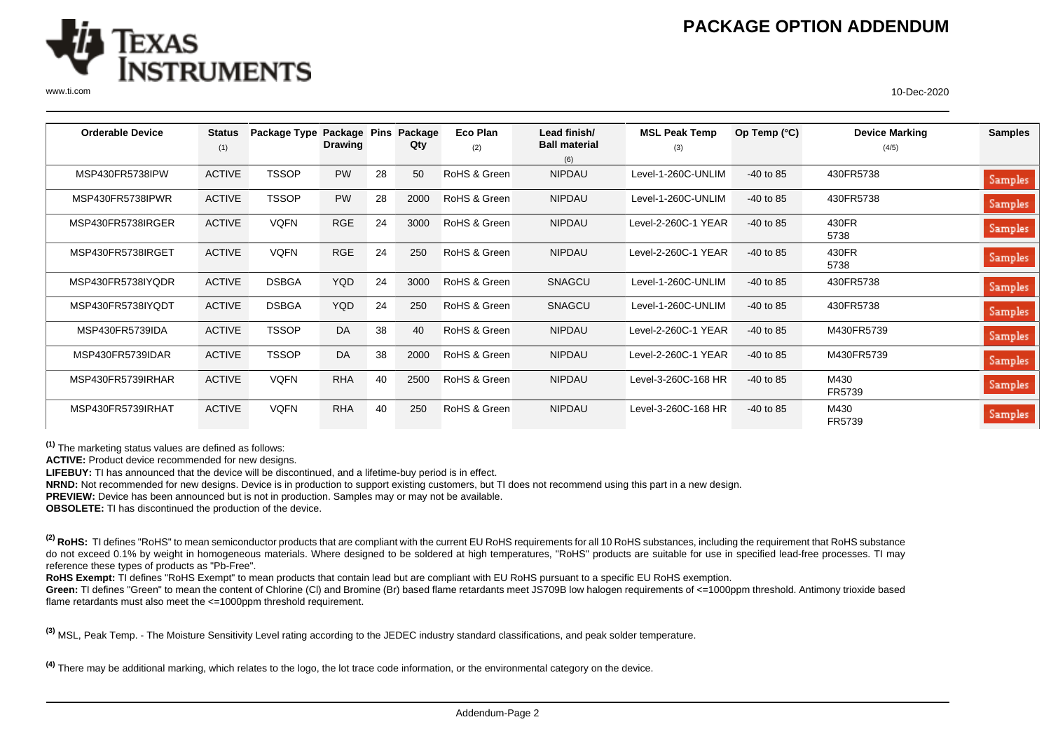

www.ti.com 10-Dec-2020

| <b>Orderable Device</b> | <b>Status</b> | Package Type Package Pins |            |    | Package | Eco Plan     | Lead finish/         | <b>MSL Peak Temp</b> | Op Temp $(^{\circ}C)$ | <b>Device Marking</b> | <b>Samples</b> |
|-------------------------|---------------|---------------------------|------------|----|---------|--------------|----------------------|----------------------|-----------------------|-----------------------|----------------|
|                         | (1)           |                           | Drawing    |    | Qty     | (2)          | <b>Ball material</b> | (3)                  |                       | (4/5)                 |                |
|                         |               |                           |            |    |         |              | (6)                  |                      |                       |                       |                |
| MSP430FR5738IPW         | <b>ACTIVE</b> | <b>TSSOP</b>              | <b>PW</b>  | 28 | 50      | RoHS & Green | <b>NIPDAU</b>        | Level-1-260C-UNLIM   | $-40$ to 85           | 430FR5738             | Samples        |
| MSP430FR5738IPWR        | <b>ACTIVE</b> | <b>TSSOP</b>              | <b>PW</b>  | 28 | 2000    | RoHS & Green | <b>NIPDAU</b>        | Level-1-260C-UNLIM   | $-40$ to 85           | 430FR5738             | Samples        |
| MSP430FR5738IRGER       | <b>ACTIVE</b> | <b>VQFN</b>               | <b>RGE</b> | 24 | 3000    | RoHS & Green | <b>NIPDAU</b>        | Level-2-260C-1 YEAR  | $-40$ to 85           | 430FR<br>5738         | Samples        |
| MSP430FR5738IRGET       | <b>ACTIVE</b> | <b>VQFN</b>               | <b>RGE</b> | 24 | 250     | RoHS & Green | <b>NIPDAU</b>        | Level-2-260C-1 YEAR  | $-40$ to 85           | 430FR<br>5738         | Samples        |
| MSP430FR5738IYQDR       | <b>ACTIVE</b> | <b>DSBGA</b>              | <b>YQD</b> | 24 | 3000    | RoHS & Green | <b>SNAGCU</b>        | Level-1-260C-UNLIM   | $-40$ to 85           | 430FR5738             | Samples        |
| MSP430FR5738IYQDT       | <b>ACTIVE</b> | <b>DSBGA</b>              | <b>YQD</b> | 24 | 250     | RoHS & Green | SNAGCU               | Level-1-260C-UNLIM   | $-40$ to 85           | 430FR5738             | Samples        |
| MSP430FR5739IDA         | <b>ACTIVE</b> | <b>TSSOP</b>              | DA         | 38 | 40      | RoHS & Green | <b>NIPDAU</b>        | Level-2-260C-1 YEAR  | $-40$ to 85           | M430FR5739            | Samples        |
| MSP430FR5739IDAR        | <b>ACTIVE</b> | <b>TSSOP</b>              | <b>DA</b>  | 38 | 2000    | RoHS & Green | <b>NIPDAU</b>        | Level-2-260C-1 YEAR  | $-40$ to 85           | M430FR5739            | Samples        |
| MSP430FR5739IRHAR       | <b>ACTIVE</b> | <b>VQFN</b>               | <b>RHA</b> | 40 | 2500    | RoHS & Green | <b>NIPDAU</b>        | Level-3-260C-168 HR  | $-40$ to 85           | M430<br>FR5739        | Samples        |
| MSP430FR5739IRHAT       | <b>ACTIVE</b> | <b>VQFN</b>               | <b>RHA</b> | 40 | 250     | RoHS & Green | <b>NIPDAU</b>        | Level-3-260C-168 HR  | $-40$ to 85           | M430<br>FR5739        | Samples        |

**(1)** The marketing status values are defined as follows:

**ACTIVE:** Product device recommended for new designs.

**LIFEBUY:** TI has announced that the device will be discontinued, and a lifetime-buy period is in effect.

**NRND:** Not recommended for new designs. Device is in production to support existing customers, but TI does not recommend using this part in a new design.

**PREVIEW:** Device has been announced but is not in production. Samples may or may not be available.

**OBSOLETE:** TI has discontinued the production of the device.

<sup>(2)</sup> RoHS: TI defines "RoHS" to mean semiconductor products that are compliant with the current EU RoHS requirements for all 10 RoHS substances, including the requirement that RoHS substance do not exceed 0.1% by weight in homogeneous materials. Where designed to be soldered at high temperatures, "RoHS" products are suitable for use in specified lead-free processes. TI may reference these types of products as "Pb-Free".

**RoHS Exempt:** TI defines "RoHS Exempt" to mean products that contain lead but are compliant with EU RoHS pursuant to a specific EU RoHS exemption.

Green: TI defines "Green" to mean the content of Chlorine (CI) and Bromine (Br) based flame retardants meet JS709B low halogen requirements of <=1000ppm threshold. Antimony trioxide based flame retardants must also meet the <=1000ppm threshold requirement.

**(3)** MSL, Peak Temp. - The Moisture Sensitivity Level rating according to the JEDEC industry standard classifications, and peak solder temperature.

**(4)** There may be additional marking, which relates to the logo, the lot trace code information, or the environmental category on the device.